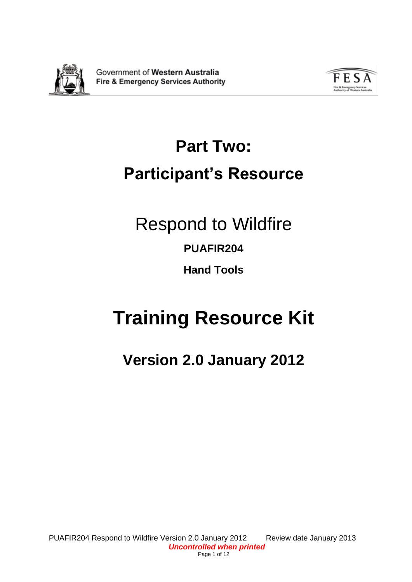

Government of Western Australia **Fire & Emergency Services Authority** 



# **Part Two: Participant's Resource**

# Respond to Wildfire

# **PUAFIR204**

**Hand Tools**

# **Training Resource Kit**

# **Version 2.0 January 2012**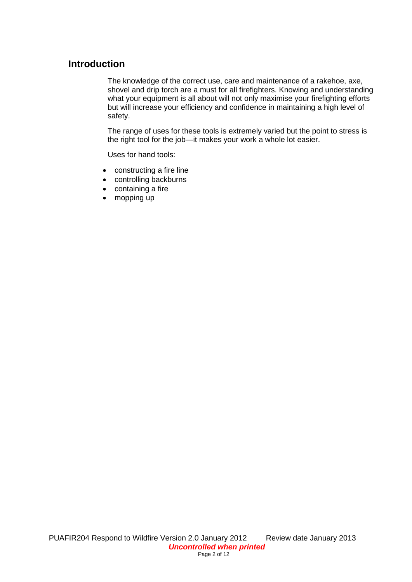# **Introduction**

The knowledge of the correct use, care and maintenance of a rakehoe, axe, shovel and drip torch are a must for all firefighters. Knowing and understanding what your equipment is all about will not only maximise your firefighting efforts but will increase your efficiency and confidence in maintaining a high level of safety.

The range of uses for these tools is extremely varied but the point to stress is the right tool for the job—it makes your work a whole lot easier.

Uses for hand tools:

- constructing a fire line
- controlling backburns
- containing a fire
- mopping up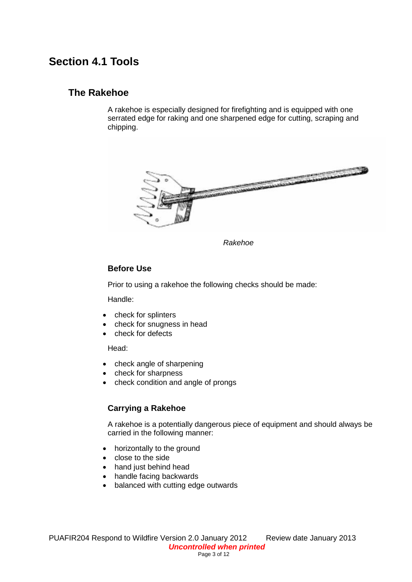# **Section 4.1 Tools**

# **The Rakehoe**

A rakehoe is especially designed for firefighting and is equipped with one serrated edge for raking and one sharpened edge for cutting, scraping and chipping.



*Rakehoe*

#### **Before Use**

Prior to using a rakehoe the following checks should be made:

Handle:

- check for splinters
- check for snugness in head
- check for defects

Head:

- check angle of sharpening
- check for sharpness
- check condition and angle of prongs

### **Carrying a Rakehoe**

A rakehoe is a potentially dangerous piece of equipment and should always be carried in the following manner:

- horizontally to the ground
- close to the side
- hand just behind head
- handle facing backwards
- balanced with cutting edge outwards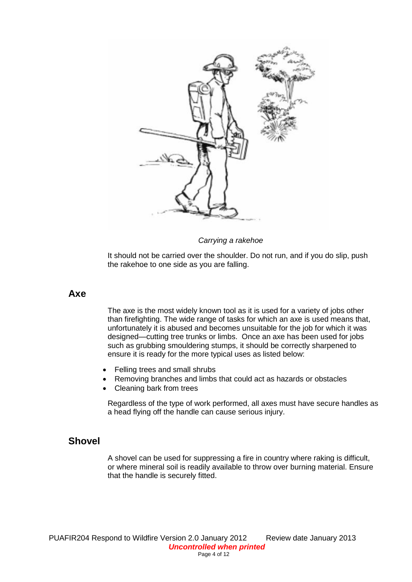

*Carrying a rakehoe*

It should not be carried over the shoulder. Do not run, and if you do slip, push the rakehoe to one side as you are falling.

#### **Axe**

The axe is the most widely known tool as it is used for a variety of jobs other than firefighting. The wide range of tasks for which an axe is used means that, unfortunately it is abused and becomes unsuitable for the job for which it was designed—cutting tree trunks or limbs. Once an axe has been used for jobs such as grubbing smouldering stumps, it should be correctly sharpened to ensure it is ready for the more typical uses as listed below:

- Felling trees and small shrubs
- Removing branches and limbs that could act as hazards or obstacles
- Cleaning bark from trees

Regardless of the type of work performed, all axes must have secure handles as a head flying off the handle can cause serious injury.

# **Shovel**

A shovel can be used for suppressing a fire in country where raking is difficult, or where mineral soil is readily available to throw over burning material. Ensure that the handle is securely fitted.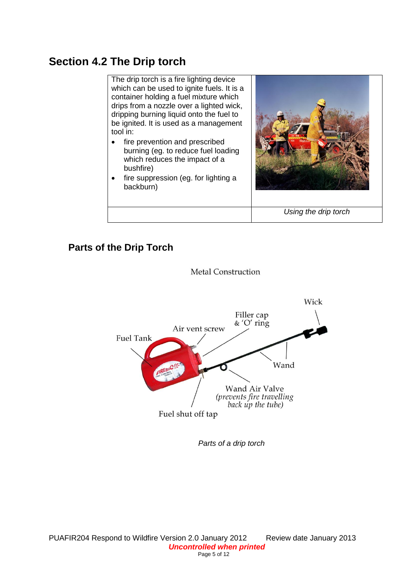# **Section 4.2 The Drip torch**

The drip torch is a fire lighting device which can be used to ignite fuels. It is a container holding a fuel mixture which drips from a nozzle over a lighted wick, dripping burning liquid onto the fuel to be ignited. It is used as a management tool in:

- fire prevention and prescribed burning (eg. to reduce fuel loading which reduces the impact of a bushfire)
- fire suppression (eg. for lighting a backburn)



*Using the drip torch*

# **Parts of the Drip Torch**



**Metal Construction** 

*Parts of a drip torch*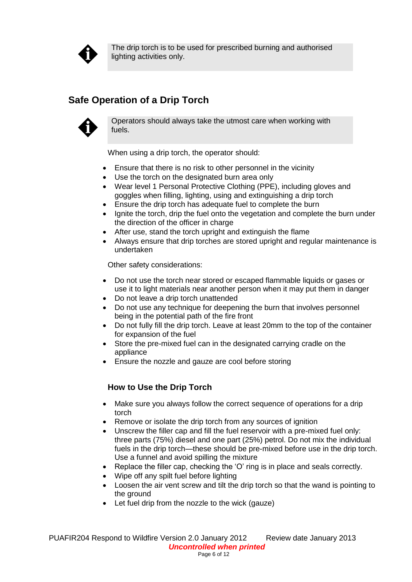

The drip torch is to be used for prescribed burning and authorised lighting activities only.

# **Safe Operation of a Drip Torch**



Operators should always take the utmost care when working with fuels.

When using a drip torch, the operator should:

- Ensure that there is no risk to other personnel in the vicinity
- Use the torch on the designated burn area only
- Wear level 1 Personal Protective Clothing (PPE), including gloves and goggles when filling, lighting, using and extinguishing a drip torch
- Ensure the drip torch has adequate fuel to complete the burn
- Ignite the torch, drip the fuel onto the vegetation and complete the burn under the direction of the officer in charge
- After use, stand the torch upright and extinguish the flame
- Always ensure that drip torches are stored upright and regular maintenance is undertaken

Other safety considerations:

- Do not use the torch near stored or escaped flammable liquids or gases or use it to light materials near another person when it may put them in danger
- Do not leave a drip torch unattended
- Do not use any technique for deepening the burn that involves personnel being in the potential path of the fire front
- Do not fully fill the drip torch. Leave at least 20mm to the top of the container for expansion of the fuel
- Store the pre-mixed fuel can in the designated carrying cradle on the appliance
- Ensure the nozzle and gauze are cool before storing

# **How to Use the Drip Torch**

- Make sure you always follow the correct sequence of operations for a drip torch
- Remove or isolate the drip torch from any sources of ignition
- Unscrew the filler cap and fill the fuel reservoir with a pre-mixed fuel only: three parts (75%) diesel and one part (25%) petrol. Do not mix the individual fuels in the drip torch—these should be pre-mixed before use in the drip torch. Use a funnel and avoid spilling the mixture
- Replace the filler cap, checking the 'O' ring is in place and seals correctly.
- Wipe off any spilt fuel before lighting
- Loosen the air vent screw and tilt the drip torch so that the wand is pointing to the ground
- Let fuel drip from the nozzle to the wick (gauze)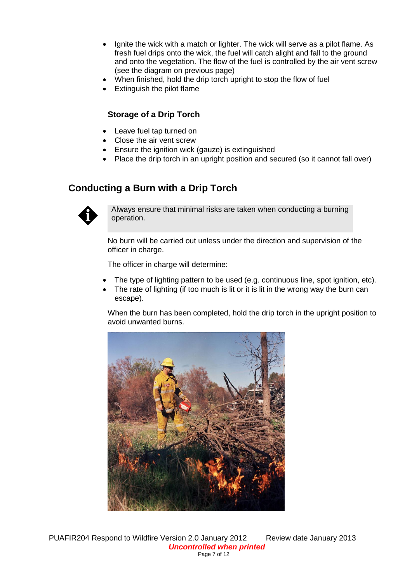- Ignite the wick with a match or lighter. The wick will serve as a pilot flame. As fresh fuel drips onto the wick, the fuel will catch alight and fall to the ground and onto the vegetation. The flow of the fuel is controlled by the air vent screw (see the diagram on previous page)
- When finished, hold the drip torch upright to stop the flow of fuel
- Extinguish the pilot flame

## **Storage of a Drip Torch**

- Leave fuel tap turned on
- Close the air vent screw
- **Ensure the ignition wick (gauze) is extinguished**
- Place the drip torch in an upright position and secured (so it cannot fall over)

# **Conducting a Burn with a Drip Torch**



Always ensure that minimal risks are taken when conducting a burning operation.

No burn will be carried out unless under the direction and supervision of the officer in charge.

The officer in charge will determine:

- The type of lighting pattern to be used (e.g. continuous line, spot ignition, etc).
- The rate of lighting (if too much is lit or it is lit in the wrong way the burn can escape).

When the burn has been completed, hold the drip torch in the upright position to avoid unwanted burns.

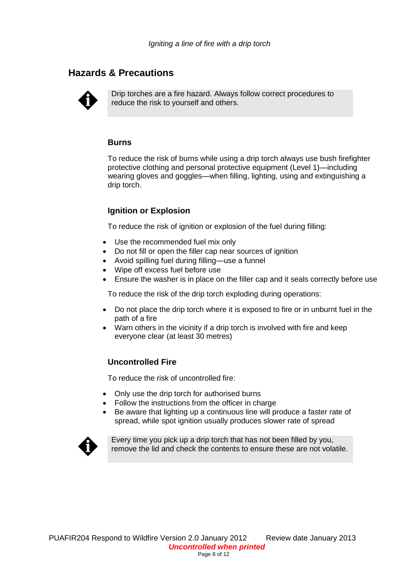# **Hazards & Precautions**



Drip torches are a fire hazard. Always follow correct procedures to reduce the risk to yourself and others.

#### **Burns**

To reduce the risk of burns while using a drip torch always use bush firefighter protective clothing and personal protective equipment (Level 1)—including wearing gloves and goggles—when filling, lighting, using and extinguishing a drip torch.

# **Ignition or Explosion**

To reduce the risk of ignition or explosion of the fuel during filling:

- Use the recommended fuel mix only
- Do not fill or open the filler cap near sources of ignition
- Avoid spilling fuel during filling—use a funnel
- Wipe off excess fuel before use
- Ensure the washer is in place on the filler cap and it seals correctly before use

To reduce the risk of the drip torch exploding during operations:

- Do not place the drip torch where it is exposed to fire or in unburnt fuel in the path of a fire
- Warn others in the vicinity if a drip torch is involved with fire and keep everyone clear (at least 30 metres)

#### **Uncontrolled Fire**

To reduce the risk of uncontrolled fire:

- Only use the drip torch for authorised burns
- Follow the instructions from the officer in charge
- Be aware that lighting up a continuous line will produce a faster rate of spread, while spot ignition usually produces slower rate of spread



Every time you pick up a drip torch that has not been filled by you, remove the lid and check the contents to ensure these are not volatile.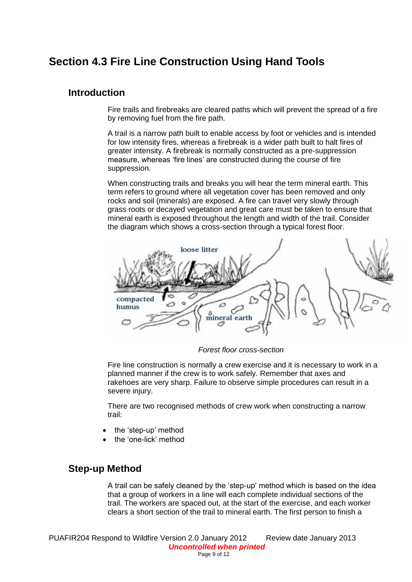# **Section 4.3 Fire Line Construction Using Hand Tools**

## **Introduction**

Fire trails and firebreaks are cleared paths which will prevent the spread of a fire by removing fuel from the fire path.

A trail is a narrow path built to enable access by foot or vehicles and is intended for low intensity fires, whereas a firebreak is a wider path built to halt fires of greater intensity. A firebreak is normally constructed as a pre-suppression measure, whereas 'fire lines' are constructed during the course of fire suppression.

When constructing trails and breaks you will hear the term mineral earth. This term refers to ground where all vegetation cover has been removed and only rocks and soil (minerals) are exposed. A fire can travel very slowly through grass roots or decayed vegetation and great care must be taken to ensure that mineral earth is exposed throughout the length and width of the trail. Consider the diagram which shows a cross-section through a typical forest floor.



*Forest floor cross-section*

Fire line construction is normally a crew exercise and it is necessary to work in a planned manner if the crew is to work safely. Remember that axes and rakehoes are very sharp. Failure to observe simple procedures can result in a severe injury.

There are two recognised methods of crew work when constructing a narrow trail:

- the 'step-up' method
- the 'one-lick' method

# **Step-up Method**

A trail can be safely cleaned by the 'step-up' method which is based on the idea that a group of workers in a line will each complete individual sections of the trail. The workers are spaced out, at the start of the exercise, and each worker clears a short section of the trail to mineral earth. The first person to finish a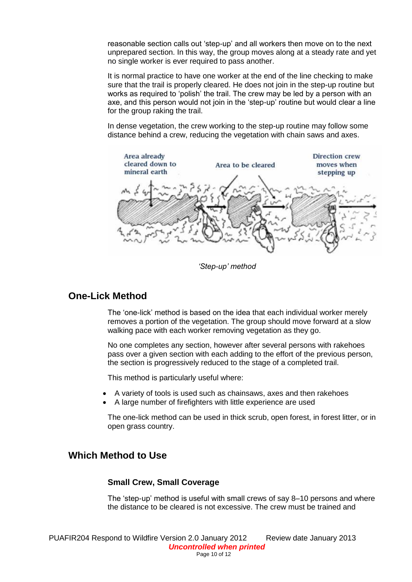reasonable section calls out 'step-up' and all workers then move on to the next unprepared section. In this way, the group moves along at a steady rate and yet no single worker is ever required to pass another.

It is normal practice to have one worker at the end of the line checking to make sure that the trail is properly cleared. He does not join in the step-up routine but works as required to 'polish' the trail. The crew may be led by a person with an axe, and this person would not join in the 'step-up' routine but would clear a line for the group raking the trail.

In dense vegetation, the crew working to the step-up routine may follow some distance behind a crew, reducing the vegetation with chain saws and axes.



*'Step-up' method*

# **One-Lick Method**

The 'one-lick' method is based on the idea that each individual worker merely removes a portion of the vegetation. The group should move forward at a slow walking pace with each worker removing vegetation as they go.

No one completes any section, however after several persons with rakehoes pass over a given section with each adding to the effort of the previous person, the section is progressively reduced to the stage of a completed trail.

This method is particularly useful where:

- A variety of tools is used such as chainsaws, axes and then rakehoes
- A large number of firefighters with little experience are used

The one-lick method can be used in thick scrub, open forest, in forest litter, or in open grass country.

# **Which Method to Use**

#### **Small Crew, Small Coverage**

The 'step-up' method is useful with small crews of say 8–10 persons and where the distance to be cleared is not excessive. The crew must be trained and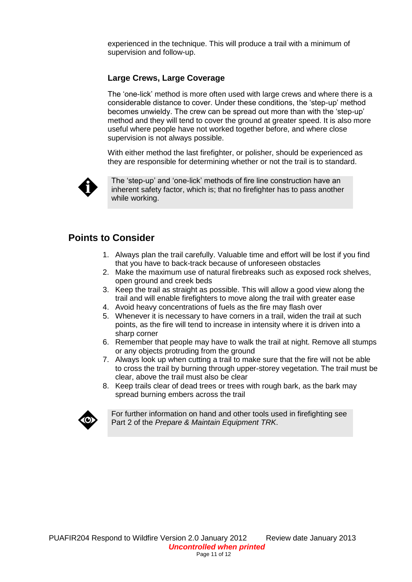experienced in the technique. This will produce a trail with a minimum of supervision and follow-up.

### **Large Crews, Large Coverage**

The 'one-lick' method is more often used with large crews and where there is a considerable distance to cover. Under these conditions, the 'step-up' method becomes unwieldy. The crew can be spread out more than with the 'step-up' method and they will tend to cover the ground at greater speed. It is also more useful where people have not worked together before, and where close supervision is not always possible.

With either method the last firefighter, or polisher, should be experienced as they are responsible for determining whether or not the trail is to standard.



The 'step-up' and 'one-lick' methods of fire line construction have an inherent safety factor, which is; that no firefighter has to pass another while working.

# **Points to Consider**

- 1. Always plan the trail carefully. Valuable time and effort will be lost if you find that you have to back-track because of unforeseen obstacles
- 2. Make the maximum use of natural firebreaks such as exposed rock shelves, open ground and creek beds
- 3. Keep the trail as straight as possible. This will allow a good view along the trail and will enable firefighters to move along the trail with greater ease
- 4. Avoid heavy concentrations of fuels as the fire may flash over
- 5. Whenever it is necessary to have corners in a trail, widen the trail at such points, as the fire will tend to increase in intensity where it is driven into a sharp corner
- 6. Remember that people may have to walk the trail at night. Remove all stumps or any objects protruding from the ground
- 7. Always look up when cutting a trail to make sure that the fire will not be able to cross the trail by burning through upper-storey vegetation. The trail must be clear, above the trail must also be clear
- 8. Keep trails clear of dead trees or trees with rough bark, as the bark may spread burning embers across the trail



For further information on hand and other tools used in firefighting see Part 2 of the *Prepare & Maintain Equipment TRK*.